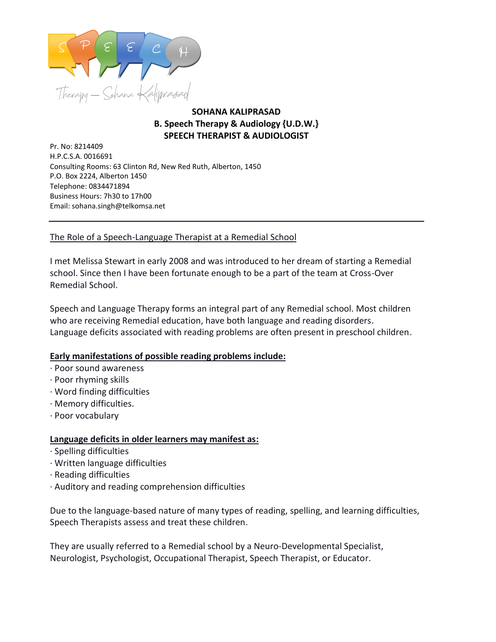

## **SOHANA KALIPRASAD B. Speech Therapy & Audiology {U.D.W.} SPEECH THERAPIST & AUDIOLOGIST**

Pr. No: 8214409<br>Pr. No: 8214409 H.P.C.S.A. 0016691 Consulting Rooms: 63 Clinton Rd, New Red Ruth, Alberton, 1450 P.O. Box 2224, Alberton 1450 Telephone: 0834471894 Business Hours: 7h30 to 17h00 Email: sohana.singh@telkomsa.net

## The Role of a Speech-Language Therapist at a Remedial School

I met Melissa Stewart in early 2008 and was introduced to her dream of starting a Remedial school. Since then I have been fortunate enough to be a part of the team at Cross-Over Remedial School.

Speech and Language Therapy forms an integral part of any Remedial school. Most children who are receiving Remedial education, have both language and reading disorders. Language deficits associated with reading problems are often present in preschool children.

## **Early manifestations of possible reading problems include:**

- · Poor sound awareness
- · Poor rhyming skills
- · Word finding difficulties
- · Memory difficulties.
- · Poor vocabulary

## **Language deficits in older learners may manifest as:**

- · Spelling difficulties
- · Written language difficulties
- · Reading difficulties
- · Auditory and reading comprehension difficulties

Due to the language-based nature of many types of reading, spelling, and learning difficulties, Speech Therapists assess and treat these children.

They are usually referred to a Remedial school by a Neuro-Developmental Specialist, Neurologist, Psychologist, Occupational Therapist, Speech Therapist, or Educator.